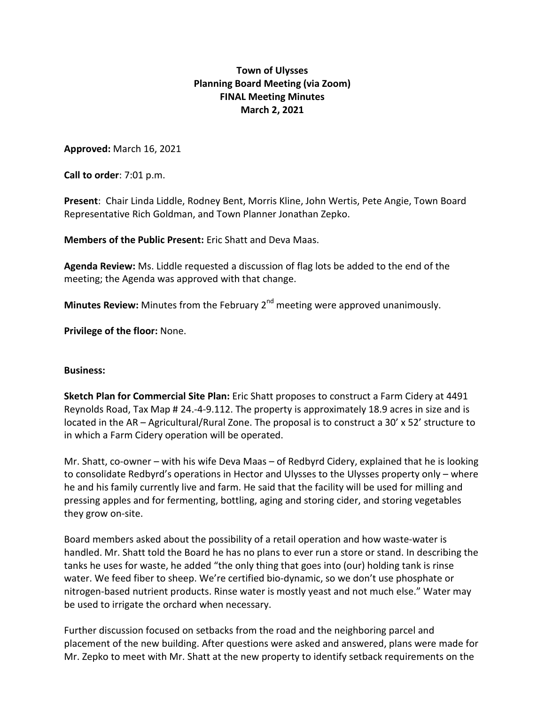## **Town of Ulysses Planning Board Meeting (via Zoom) FINAL Meeting Minutes March 2, 2021**

**Approved:** March 16, 2021

**Call to order**: 7:01 p.m.

**Present**: Chair Linda Liddle, Rodney Bent, Morris Kline, John Wertis, Pete Angie, Town Board Representative Rich Goldman, and Town Planner Jonathan Zepko.

**Members of the Public Present:** Eric Shatt and Deva Maas.

**Agenda Review:** Ms. Liddle requested a discussion of flag lots be added to the end of the meeting; the Agenda was approved with that change.

**Minutes Review:** Minutes from the February 2<sup>nd</sup> meeting were approved unanimously.

**Privilege of the floor:** None.

## **Business:**

**Sketch Plan for Commercial Site Plan:** Eric Shatt proposes to construct a Farm Cidery at 4491 Reynolds Road, Tax Map # 24.-4-9.112. The property is approximately 18.9 acres in size and is located in the AR – Agricultural/Rural Zone. The proposal is to construct a 30' x 52' structure to in which a Farm Cidery operation will be operated.

Mr. Shatt, co-owner – with his wife Deva Maas – of Redbyrd Cidery, explained that he is looking to consolidate Redbyrd's operations in Hector and Ulysses to the Ulysses property only – where he and his family currently live and farm. He said that the facility will be used for milling and pressing apples and for fermenting, bottling, aging and storing cider, and storing vegetables they grow on-site.

Board members asked about the possibility of a retail operation and how waste-water is handled. Mr. Shatt told the Board he has no plans to ever run a store or stand. In describing the tanks he uses for waste, he added "the only thing that goes into (our) holding tank is rinse water. We feed fiber to sheep. We're certified bio-dynamic, so we don't use phosphate or nitrogen-based nutrient products. Rinse water is mostly yeast and not much else." Water may be used to irrigate the orchard when necessary.

Further discussion focused on setbacks from the road and the neighboring parcel and placement of the new building. After questions were asked and answered, plans were made for Mr. Zepko to meet with Mr. Shatt at the new property to identify setback requirements on the